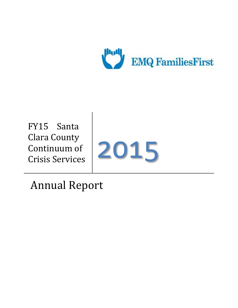

FY15 Santa Clara County Continuum of Crisis Services



Annual Report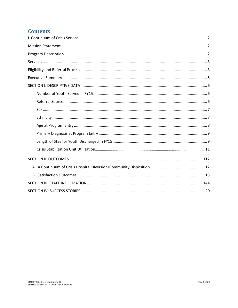# **Contents**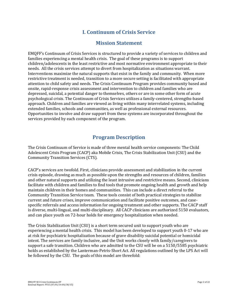## **I. Continuum of Crisis Service**

### **Mission Statement**

<span id="page-2-1"></span><span id="page-2-0"></span>EMQFF's Continuum of Crisis Services is structured to provide a variety of services to children and families experiencing a mental health crisis. The goal of these programs is to support children/adolescents in the least restrictive and most normative environment appropriate to their needs. All the crisis services attempt to divert from hospitalization as situations warrant. Interventions maximize the natural supports that exist in the family and community. When more restrictive treatment is needed, transition to a more secure setting is facilitated with appropriate attention to child safety and needs. The Crisis Continuum Program provides community based and onsite, rapid-response crisis assessment and intervention to children and families who are depressed, suicidal, a potential danger to themselves, others or are in some other form of acute psychological crisis. The Continuum of Crisis Services utilizes a family-centered, strengths-based approach. Children and families are viewed as living within many interrelated systems, including extended families, schools and communities, as well as professional external resources. Opportunities to involve and draw support from these systems are incorporated throughout the services provided by each component of the program.

## **Program Description**

<span id="page-2-2"></span>The Crisis Continuum of Service is made of three mental health service components: The Child Adolescent Crisis Program (CACP) aka Mobile Crisis, The Crisis Stabilization Unit (CSU) and the Community Transition Services (CTS).

CACP's services are twofold. First, clinicians provide assessment and stabilization in the current crisis episode, drawing as much as possible upon the strengths and resources of children, families and other natural supports and utilizing the least intrusive and restrictive means. Second, clinicians facilitate with children and families to find tools that promote ongoing health and growth and help maintain children in their homes and communities. This can include a direct referral to the Community Transition Service team. These tools consist of both practical strategies to stabilize current and future crises, improve communication and facilitate positive outcomes, and casespecific referrals and access information for ongoing treatment and other supports. The CACP staff is diverse, multi-lingual, and multi-disciplinary. All CACP clinicians are authorized 5150 evaluators, and can place youth on 72-hour holds for emergency hospitalization when needed.

The Crisis Stabilization Unit (CSU) is a short term secured unit to support youth who are experiencing a mental health crisis. This model has been developed to support youth 0-17 who are at risk for psychiatric hospitalization because of grave disability suicidal potential or homicidal intent. The services are family inclusive, and the Unit works closely with family/caregivers to support a safe transition. Children who are admitted to the CSU will be on a 5150/5585 psychiatric holds as established by the Lanterman-Petris-Short Act. All regulations outlined by the LPS Act will be followed by the CSU. The goals of this model are threefold: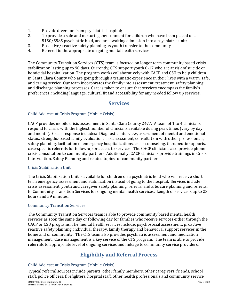- 1. Provide diversion from psychiatric hospital;
- 2. To provide a safe and nurturing environment for children who have been placed on a 5150/5585 psychiatric hold, and are awaiting admission into a psychiatric unit;
- 3. Proactive/ reactive safety planning as youth transfer to the community
- 4. Referral to the appropriate on going mental health services

The Community Transition Services (CTS) team is focused on longer term community based crisis stabilization lasting up to 90 days. Currently, CTS support youth 0-17 who are at risk of suicide or homicidal hospitalization. The program works collaboratively with CACP and CSU to help children in Santa Clara County who are going through a traumatic experience in their lives with a warm, safe, and caring service. Our team incorporates the family into assessment, treatment, safety planning, and discharge planning processes. Care is taken to ensure that services encompass the family's preferences, including language, cultural fit and accessibility for any needed follow up services.

### <span id="page-3-0"></span>**Services**

### Child Adolescent Crisis Program (Mobile Crisis)

CACP provides mobile crisis assessment in Santa Clara County 24/7. A team of 1 to 4 clinicians respond to crisis, with the highest number of clinicians available during peak times (vary by day and month). Crisis response includes: Diagnostic interview, assessment of mental and emotional status, strengths-based family evaluation, risk assessment, consultation with other professionals, safety planning, facilitation of emergency hospitalizations, crisis counseling, therapeutic supports, case-specific referrals for follow-up or access to services. The CACP clinicians also provide phone crisis consultation to community partners. Additionally, CACP clinicians provide trainings in Crisis Intervention, Safety Planning and related topics for community partners.

### Crisis Stabilization Unit

The Crisis Stabilization Unit is available for children on a psychiatric hold who will receive short term emergency assessment and stabilization instead of going to the hospital. Services include crisis assessment, youth and caregiver safety planning, referral and aftercare planning and referral to Community Transition Services for ongoing mental health services. Length of service is up to 23 hours and 59 minutes.

### Community Transition Services

The Community Transition Services team is able to provide community based mental health services as soon the same day or following day for families who receive services either through the CACP or CSU programs. The mental health services include: psychosocial assessment, proactive reactive safety planning, individual therapy, family therapy and behavioral support services in the home and or community. The CTS team also provides psychiatric assessment and medication management. Case management is a key service of the CTS program. The team is able to provide referrals to appropriate level of ongoing services and linkage to community service providers.

# **Eligibility and Referral Process**

### <span id="page-3-1"></span>Child Adolescent Crisis Program (Mobile Crisis)

Typical referral sources include parents, other family members, other caregivers, friends, school staff, police officers, firefighters, hospital staff, other health professionals and community service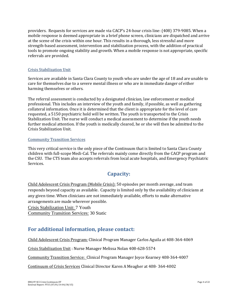providers. Requests for services are made via CACP's 24-hour crisis line: (408) 379-9085. When a mobile response is deemed appropriate in a brief phone screen, clinicians are dispatched and arrive at the scene of the crisis within one hour. This results in a thorough, less stressful and more strength-based assessment, intervention and stabilization process, with the addition of practical tools to promote ongoing stability and growth. When a mobile response is not appropriate, specific referrals are provided.

### Crisis Stabilization Unit

Services are available in Santa Clara County to youth who are under the age of 18 and are unable to care for themselves due to a severe mental illness or who are in immediate danger of either harming themselves or others.

The referral assessment is conducted by a designated clinician, law enforcement or medical professional. This includes an interview of the youth and family, if possible, as well as gathering collateral information. Once it is determined that the client is appropriate for the level of care requested, a 5150 psychiatric hold will be written. The youth is transported to the Crisis Stabilization Unit. The nurse will conduct a medical assessment to determine if the youth needs further medical attention. If the youth is medically cleared, he or she will then be admitted to the Crisis Stabilization Unit.

#### Community Transition Services

This very critical service is the only piece of the Continuum that is limited to Santa Clara County children with full-scope Medi-Cal. The referrals mainly come directly from the CACP program and the CSU. The CTS team also accepts referrals from local acute hospitals, and Emergency Psychiatric Services.

## **Capacity:**

Child Adolescent Crisis Program (Mobile Crisis): 50 episodes per month average, and team responds beyond capacity as available. Capacity is limited only by the availability of clinicians at any given time. When clinicians are not immediately available, efforts to make alternative arrangements are made wherever possible.

Crisis Stabilization Unit: 7 Youth

Community Transition Services: 30 Static

## **For additional information, please contact:**

Child Adolescent Crisis Program: Clinical Program Manager Carlos Aguila at 408-364-4069

Crisis Stabilization Unit : Nurse Manager Melissa Nolan 408-628-5574

Community Transition Service: Clinical Program Manager Joyce Kearney 408-364-4007

Continuum of Crisis Services Clinical Director Karen A Meagher at 408- 364-4002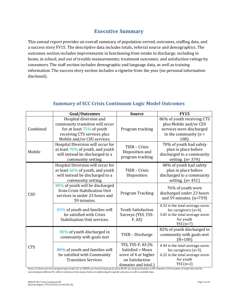## **Executive Summary**

<span id="page-5-0"></span>This annual report provides an overall summary of population served, outcomes, staffing data, and a success story FY15. The descriptive data includes totals, referral source and demographics. The outcomes section includes improvements in functioning from intake to discharge, including in home, in school, and out of trouble measurements; treatment outcomes; and satisfaction ratings by consumers. The staff section includes demographic and language data, as well as training information. The success story section includes a vignette from the year (no personal information disclosed).

|            | Goal/Outcomes                                                                                                                                           | <b>Source</b>                                                                                           | <b>FY15</b>                                                                                                              |
|------------|---------------------------------------------------------------------------------------------------------------------------------------------------------|---------------------------------------------------------------------------------------------------------|--------------------------------------------------------------------------------------------------------------------------|
| Combined   | Hospital diversion and<br>community transition will occur<br>for at least $75\%$ of youth<br>receiving CTS services plus<br>Mobile and/or CSU services. | Program tracking                                                                                        | 86% of youth receiving CTS<br>plus Mobile and/or CSU<br>services were discharged<br>to the community $(n =$<br>$108$ ).  |
| Mobile     | Hospital Diversion will occur for<br>at least $70\%$ of youth, and youth<br>will instead be discharged to a<br>community setting.                       | TIER - Crisis<br>Disposition and<br>program tracking                                                    | 70% of youth had safety<br>plan in place before<br>discharged to a community<br>setting. $(n=374)$                       |
| CSU        | Hospital Diversion will occur for<br>at least $60\%$ of youth, and youth<br>will instead be discharged to a<br>community setting.                       | TIER - Crisis<br>Disposition                                                                            | 48% of youth had safety<br>plan in place before<br>discharged to a community<br>setting. $(n=451)$                       |
|            | 80% of youth will be discharged<br>from Crisis Stabilization Unit<br>services in under 23 hours and<br>59 minutes.                                      | Program Tracking                                                                                        | 76% of youth were<br>discharged under 23 hours<br>and 59 minutes. $(n=759)$                                              |
|            | 80% of youth and families will<br>be satisfied with Crisis<br>Stabilization Unit services.                                                              | <b>Youth Satisfaction</b><br>Surveys (YSS, YSS-<br>F, AS                                                | 4.52 is the total average score<br>for caregivers $(n=4)$<br>3.81 is the total average score<br>for youth<br>YSS $(n=7)$ |
| <b>CTS</b> | 80% of youth discharged in<br>community with goals met                                                                                                  | TIER - Discharge                                                                                        | 82% of youth discharged in<br>community with goals met<br>$(N=100)$                                                      |
|            | 80% of youth and families will<br>be satisfied with Community<br><b>Transition Services.</b>                                                            | YSS, YSS-F, AS (%<br>Satisfied = Mean<br>score of 4 or higher<br>on Satisfaction<br>domains and total.) | 4.44 is the total average score<br>for caregivers $(n=3)$<br>4.22 is the total average score<br>for youth<br>$YSS(n=2)$  |

## **Summary of SCC Crisis Continuum Logic Model Outcomes**

Notes: (1) Outcomes from program logic model. (2) In GREEN: per desired target goal, and in BLUE: per program baseline or KPI standard. (3) N=number of youth who met the outcome/goal; different N's reflect variation on how many clients are addressing the specific outcome, as well as available data.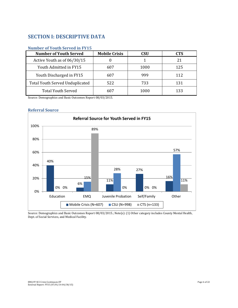## <span id="page-6-0"></span>**SECTION I: DESCRIPTIVE DATA**

| <b>Number of Youth Served</b>   | <b>Mobile Crisis</b> | <b>CSU</b> | <b>CTS</b> |
|---------------------------------|----------------------|------------|------------|
| Active Youth as of 06/30/15     |                      |            |            |
| Youth Admitted in FY15          | 607                  | 1000       | 125        |
| Youth Discharged in FY15        | 607                  | 999        | 112        |
| Total Youth Served Unduplicated | 522                  | 733        | 131        |
| <b>Total Youth Served</b>       | 607                  | 1000       | 133        |

### <span id="page-6-1"></span>**Number of Youth Served in FY15**

Source: Demographics and Basic Outcomes Report 08/03/2015.

#### <span id="page-6-2"></span>**Referral Source**



Source: Demographics and Basic Outcomes Report 08/03/2015.; Note(s): (1) Other category includes County Mental Health, Dept. of Social Services, and Medical Facility.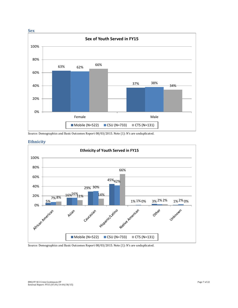<span id="page-7-0"></span>

<span id="page-7-1"></span>Source: Demographics and Basic Outcomes Report 08/03/2015. Note (1): N's are unduplicated.





#### Source: Demographics and Basic Outcomes Report 08/03/2015. Note (1): N's are unduplicated.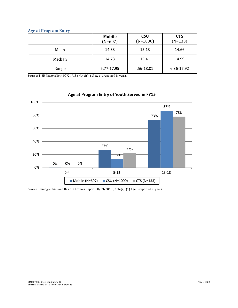### <span id="page-8-0"></span>**Age at Program Entry**

|        | <b>Mobile</b><br>$(N=607)$ | <b>CSU</b><br>$(N=1000)$ | <b>CTS</b><br>$(N=133)$ |
|--------|----------------------------|--------------------------|-------------------------|
| Mean   | 14.33                      | 15.13                    | 14.66                   |
| Median | 14.73                      | 15.41                    | 14.99                   |
| Range  | 5.77-17.95                 | .56-18.01                | 6.36-17.92              |

Source: TIER Masterclient 07/24/15.; Note(s): (1) Age is reported in years.



Source: Demographics and Basic Outcomes Report 08/03/2015.; Note(s): (1) Age is reported in years.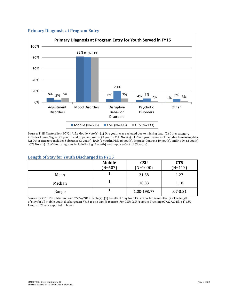

#### <span id="page-9-0"></span>**Primary Diagnosis at Program Entry**

Source: TIER Masterclient 07/24/15.; Mobile Note(s): (1) One youth was excluded due to missing data. (2) Other category includes Abuse Neglect (1 youth), and Impulse-Control (3 youth). CSU Note(s): (1) Two youth were excluded due to missing data. (2) Other category includes Substance (3 youth), RAD (1 youth), PDD (6 youth), Impulse-Control (49 youth), and No Dx (2 youth) . CTS Note(s): (1) Other categories include Eating (1 youth) and Impulse-Control (3 youth).

#### <span id="page-9-1"></span>**Length of Stay for Youth Discharged in FY15**

|        | <b>Mobile</b><br>$(N=607)$ | <b>CSU</b><br>$(N=1000)$ | <b>CTS</b><br>$(N=112)$ |
|--------|----------------------------|--------------------------|-------------------------|
| Mean   |                            | 21.68                    | 1.27                    |
| Median |                            | 18.83                    | 1.18                    |
| Range  |                            | 1.00-193.77              | $.07 - 3.81$            |

Source for CTS: TIER Masterclient 07/24/2015.; Note(s): (1) Length of Stay for CTS is reported in months. (2) The length of stay for all mobile youth discharged in FY15 is one day. (3)Source For CSU: CSU Program Tracking 07/22/2015.; (4) CSU Length of Stay is reported in hours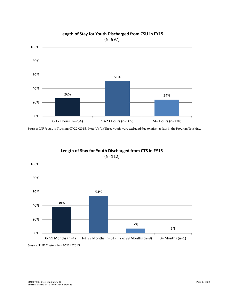

Source: CSU Program Tracking 07/22/2015.; Note(s): (1) Three youth were excluded due to missing data in the Program Tracking.



Source: TIER Masterclient 07/24/2015.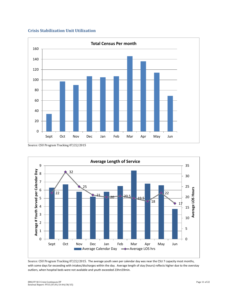### **Crisis Stabilization Unit Utilization**

<span id="page-11-0"></span>

Source: CSU Program Tracking 07/22/2015



Source: CSU Program Tracking 07/22/2015. The average youth seen per calendar day was near the CSU 7 capacity most months, with some days far exceeding with intakes/discharges within the day. Average length of stay (hours) reflects higher due to the overstay outliers, when hospital beds were not available and youth exceeded 23hrs59min.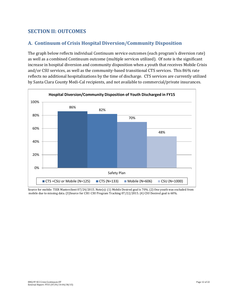### **SECTION II: OUTCOMES**

### <span id="page-12-0"></span>**A. Continuum of Crisis Hospital Diversion/Community Disposition**

The graph below reflects individual Continuum service outcomes (each program's diversion rate) as well as a combined Continuum outcome (multiple services utilized). Of note is the significant increase in hospital diversion and community disposition when a youth that receives Mobile Crisis and/or CSU services, as well as the community-based transitional CTS services. This 86% rate reflects no additional hospitalizations by the time of discharge. CTS services are currently utilized by Santa Clara County Medi-Cal recipients, and not available to commercial/private insurances.



<span id="page-12-1"></span>Source for mobile: TIER Masterclient 07/24/2015. Note(s): (1) Mobile Desired goal is 70%. (2) One youth was excluded from mobile due to missing data. (3)Source for CSU: CSU Program Tracking 07/22/2015. (4) CSU Desired goal is 60%.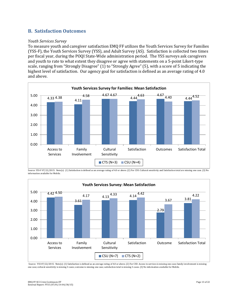### **B. Satisfaction Outcomes**

#### *Youth Services Survey*

To measure youth and caregiver satisfaction EMQ FF utilizes the Youth Services Survey for Families (YSS-F), the Youth Services Survey (YSS), and Adult Survey (AS). Satisfaction is collected two times per fiscal year, during the POQI State-Wide administration period. The YSS surveys ask caregivers and youth to rate to what extent they disagree or agree with statements on a 5-point Likert-type scale, ranging from "Strongly Disagree" (1) to "Strongly Agree" (5), with a score of 5 indicating the highest level of satisfaction. Our agency goal for satisfaction is defined as an average rating of 4.0 and above.



Source: YSS-F 07/22/2015. Note(s): (1) Satisfaction is defined as an average rating of 4.0 or above. (2) For CSU: Cultural sensitivity and Satisfaction total are missing one case. (3) No information available for Mobile.



Source: YSS 07/22/2015. Note(s): (1) Satisfaction is defined as an average rating of 4.0 or above. (2) For CSU: Access to services is missing one case; family involvement is missing one case; cultural sensitivity is missing 3 cases; outcome is missing one case; satisfaction total is missing 3 cases. (3) No information available for Mobile.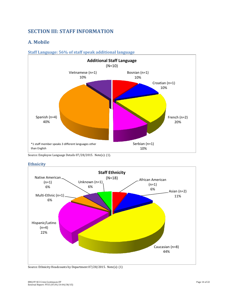## <span id="page-14-0"></span>**SECTION III: STAFF INFORMATION**

### **A. Mobile**

### **Staff Language: 56% of staff speak additional language**



Source: Employee Language Details 07/28/2015. Note(s): (1).



**Ethnicity** 

Source: Ethnicity Headcounts by Department 07/28/2015. Note(s): (1)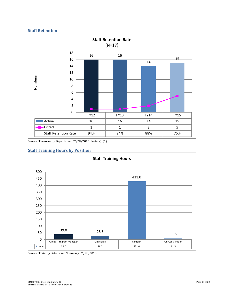### **Staff Retention**



Source: Turnover by Department 07/28/2015. Note(s): (1)

### **Staff Training Hours by Position**



Source: Training Details and Summary 07/28/2015.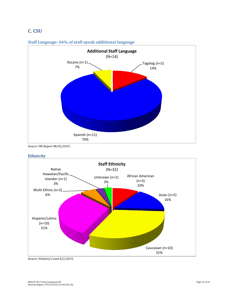## **C. CSU**



#### **Staff Language: 44% of staff speak additional language**

Source: HR Report 08/02/2015.

### **Ethnicity**



Source: Ethnicity Count 8/2/2015.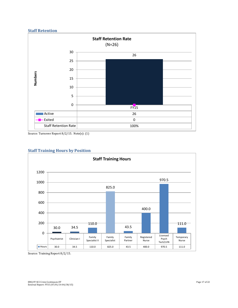### **Staff Retention**



Source: Turnover Report 8/2/15. Note(s): (1)





Source: Training Report 8/2/15.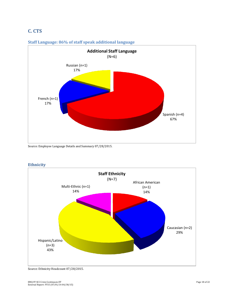## **C. CTS**



### **Staff Language: 86% of staff speak additional language**



**Ethnicity** 

Source: Ethnicity Headcount 07/28/2015.

Source: Employee Language Details and Summary 07/28/2015.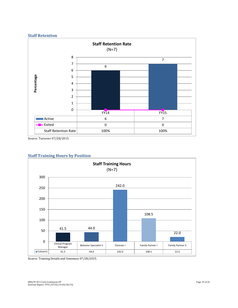

Source: Turnover 07/28/2015.



### **Staff Training Hours by Position**

Source: Training Details and Summary 07/28/2015.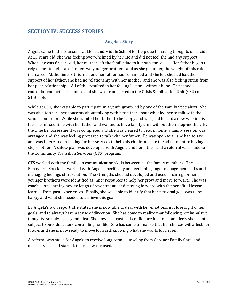### <span id="page-20-0"></span>**SECTION IV: SUCCESS STORIES**

### **Angela's Story**

Angela came to the counselor at Moreland Middle School for help due to having thoughts of suicide. At 13 years old, she was feeling overwhelmed by her life and did not feel she had any support. When she was 6 years old, her mother left the family due to her substance use. Her father began to rely on her to help care for her two younger brothers, and as she got older, the weight of this role increased. At the time of this incident, her father had remarried and she felt she had lost the support of her father, she had no relationship with her mother, and she was also feeling stress from her peer relationships. All of this resulted in her feeling lost and without hope. The school counselor contacted the police and she was transported to the Crisis Stabilization Unit (CSU) on a 5150 hold.

While at CSU, she was able to participate in a youth group led by one of the Family Specialists. She was able to share her concerns about talking with her father about what led her to talk with the school counselor. While she wanted her father to be happy and was glad he had a new wife in his life, she missed time with her father and wanted to have family time without their step-mother. By the time her assessment was completed and she was cleared to return home, a family session was arranged and she was feeling prepared to talk with her father. He was open to all she had to say and was interested in having further services to help his children make the adjustment to having a step-mother. A safety plan was developed with Angela and her father, and a referral was made to the Community Transition Services (CTS) program.

CTS worked with the family on communication skills between all the family members. The Behavioral Specialist worked with Angela specifically on developing anger management skills and managing feelings of frustration. The strengths she had developed and used in caring for her younger brothers were identified as inner resources to help her grow and move forward. She was coached on learning how to let go of resentments and moving forward with the benefit of lessons learned from past experiences. Finally, she was able to identify that her personal goal was to be happy and what she needed to achieve this goal.

By Angela's own report, she stated she is now able to deal with her emotions, not lose sight of her goals, and to always have a sense of direction. She has come to realize that following her impulsive thoughts isn't always a good idea. She now has trust and confidence in herself and feels she is not subject to outside factors controlling her life. She has come to realize that her choices will affect her future, and she is now ready to move forward, knowing what she wants for herself.

A referral was made for Angela to receive long-term counseling from Gardner Family Care, and once services had started, the case was closed.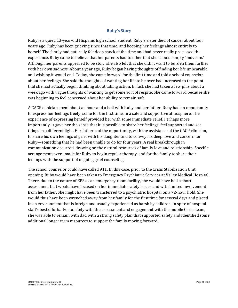### **Ruby's Story**

Ruby is a quiet, 13-year-old Hispanic high school student. Ruby's sister died of cancer about four years ago. Ruby has been grieving since that time, and keeping her feelings almost entirely to herself. The family had naturally felt deep shock at the time and had never really processed the experience. Ruby came to believe that her parents had told her that she should simply "move on." Although her parents appeared to be stoic, she also felt that she didn't want to burden them further with her own sadness. About a year ago, Ruby began having thoughts of finding her life unbearable and wishing it would end. Today, she came forward for the first time and told a school counselor about her feelings. She said the thoughts of wanting her life to be over had increased to the point that she had actually begun thinking about taking action. In fact, she had taken a few pills about a week ago with vague thoughts of wanting to get some sort of respite. She came forward because she was beginning to feel concerned about her ability to remain safe.

A CACP clinician spent about an hour and a half with Ruby and her father. Ruby had an opportunity to express her feelings freely, some for the first time, in a safe and supportive atmosphere. The experience of expressing herself provided her with some immediate relief. Perhaps more importantly, it gave her the sense that it is possible to share her feelings, feel supported and see things in a different light. Her father had the opportunity, with the assistance of the CACP clinician, to share his own feelings of grief with his daughter and to convey his deep love and concern for Ruby—something that he had been unable to do for four years. A real breakthrough in communication occurred, drawing on the natural resources of family love and relationship. Specific arrangements were made for Ruby to begin regular therapy, and for the family to share their feelings with the support of ongoing grief counseling.

The school counselor could have called 911. In this case, prior to the Crisis Stabilization Unit opening, Ruby would have been taken to Emergency Psychiatric Services at Valley Medical Hospital. There, due to the nature of EPS as an emergency room facility, she would have had a short assessment that would have focused on her immediate safety issues and with limited involvement from her father. She might have been transferred to a psychiatric hospital on a 72-hour hold. She would thus have been wrenched away from her family for the first time for several days and placed in an environment that is foreign and usually experienced as harsh by children, in spite of hospital staff's best efforts. Fortunately with the assessment and engagement with the mobile Crisis team, she was able to remain with dad with a strong safety plan that supported safety and identified some additional longer term resources to support the family moving forward.